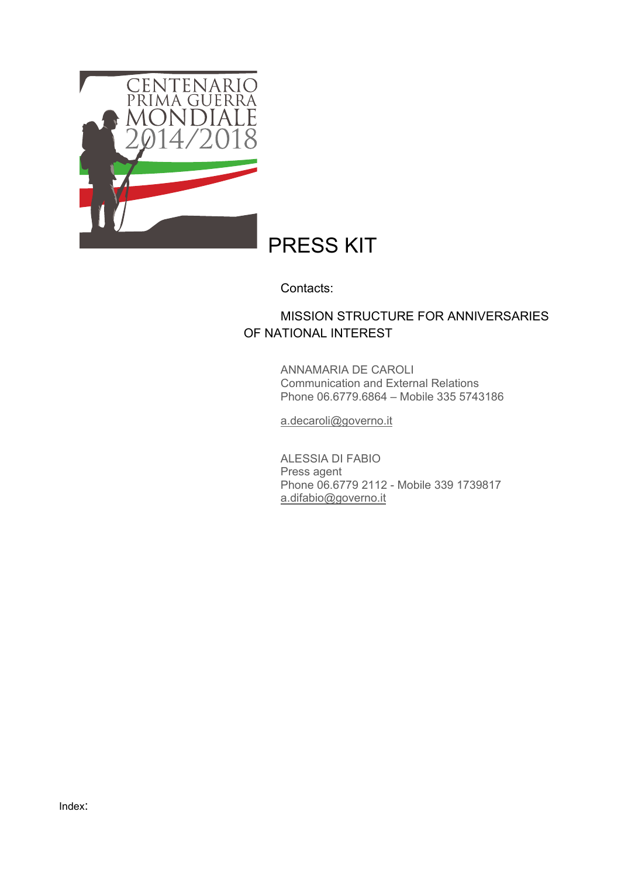

# PRESS KIT

Contacts:

# MISSION STRUCTURE FOR ANNIVERSARIES OF NATIONAL INTEREST

ANNAMARIA DE CAROLI Communication and External Relations Phone 06.6779.6864 – Mobile 335 5743186

a.decaroli@governo.it

ALESSIA DI FABIO Press agent Phone 06.6779 2112 - Mobile 339 1739817 a.difabio@governo.it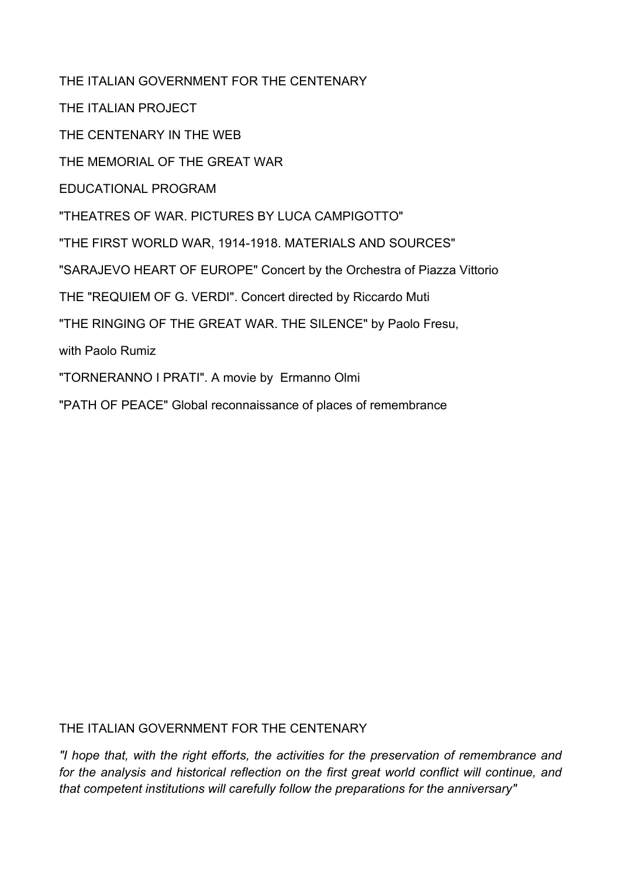THE ITALIAN GOVERNMENT FOR THE CENTENARY

THE ITALIAN PROJECT

THE CENTENARY IN THE WEB

THE MEMORIAL OF THE GREAT WAR

EDUCATIONAL PROGRAM

"THEATRES OF WAR. PICTURES BY LUCA CAMPIGOTTO"

"THE FIRST WORLD WAR, 1914-1918. MATERIALS AND SOURCES"

"SARAJEVO HEART OF EUROPE" Concert by the Orchestra of Piazza Vittorio

THE "REQUIEM OF G. VERDI". Concert directed by Riccardo Muti

"THE RINGING OF THE GREAT WAR. THE SILENCE" by Paolo Fresu,

with Paolo Rumiz

"TORNERANNO I PRATI". A movie by Ermanno Olmi

"PATH OF PEACE" Global reconnaissance of places of remembrance

THE ITALIAN GOVERNMENT FOR THE CENTENARY

*"I hope that, with the right efforts, the activities for the preservation of remembrance and for the analysis and historical reflection on the first great world conflict will continue, and that competent institutions will carefully follow the preparations for the anniversary"*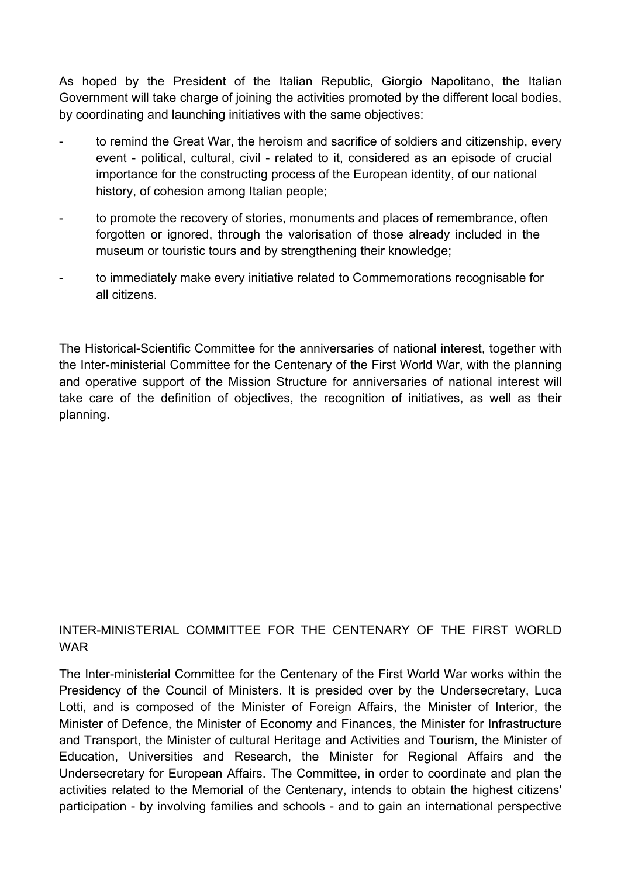As hoped by the President of the Italian Republic, Giorgio Napolitano, the Italian Government will take charge of joining the activities promoted by the different local bodies, by coordinating and launching initiatives with the same objectives:

- to remind the Great War, the heroism and sacrifice of soldiers and citizenship, every event - political, cultural, civil - related to it, considered as an episode of crucial importance for the constructing process of the European identity, of our national history, of cohesion among Italian people;
- to promote the recovery of stories, monuments and places of remembrance, often forgotten or ignored, through the valorisation of those already included in the museum or touristic tours and by strengthening their knowledge;
- to immediately make every initiative related to Commemorations recognisable for all citizens.

The Historical-Scientific Committee for the anniversaries of national interest, together with the Inter-ministerial Committee for the Centenary of the First World War, with the planning and operative support of the Mission Structure for anniversaries of national interest will take care of the definition of objectives, the recognition of initiatives, as well as their planning.

# INTER-MINISTERIAL COMMITTEE FOR THE CENTENARY OF THE FIRST WORLD WAR

The Inter-ministerial Committee for the Centenary of the First World War works within the Presidency of the Council of Ministers. It is presided over by the Undersecretary, Luca Lotti, and is composed of the Minister of Foreign Affairs, the Minister of Interior, the Minister of Defence, the Minister of Economy and Finances, the Minister for Infrastructure and Transport, the Minister of cultural Heritage and Activities and Tourism, the Minister of Education, Universities and Research, the Minister for Regional Affairs and the Undersecretary for European Affairs. The Committee, in order to coordinate and plan the activities related to the Memorial of the Centenary, intends to obtain the highest citizens' participation - by involving families and schools - and to gain an international perspective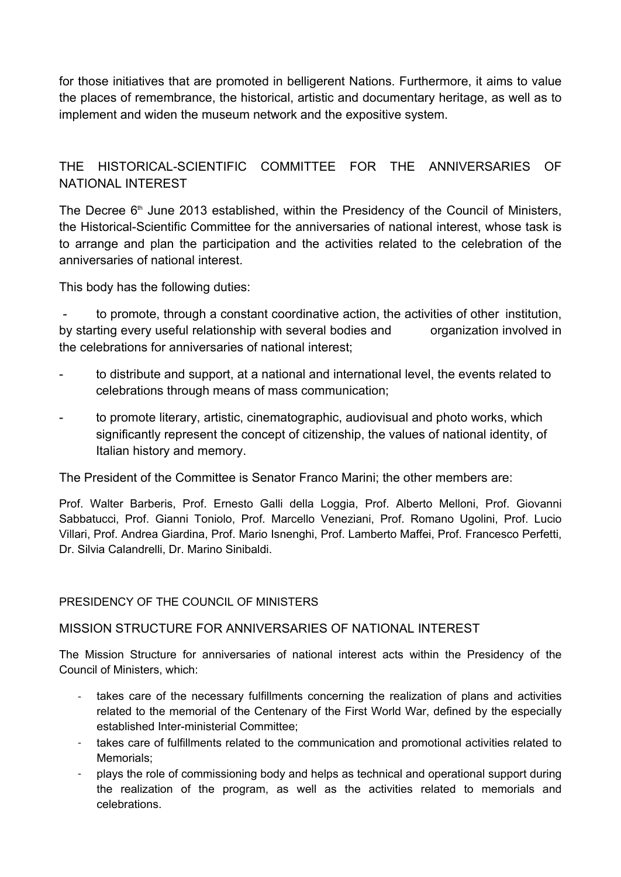for those initiatives that are promoted in belligerent Nations. Furthermore, it aims to value the places of remembrance, the historical, artistic and documentary heritage, as well as to implement and widen the museum network and the expositive system.

# THE HISTORICALSCIENTIFIC COMMITTEE FOR THE ANNIVERSARIES OF NATIONAL INTEREST

The Decree 6<sup>th</sup> June 2013 established, within the Presidency of the Council of Ministers, the Historical-Scientific Committee for the anniversaries of national interest, whose task is to arrange and plan the participation and the activities related to the celebration of the anniversaries of national interest.

This body has the following duties:

 to promote, through a constant coordinative action, the activities of other institution, by starting every useful relationship with several bodies and organization involved in the celebrations for anniversaries of national interest;

- to distribute and support, at a national and international level, the events related to celebrations through means of mass communication;
- to promote literary, artistic, cinematographic, audiovisual and photo works, which significantly represent the concept of citizenship, the values of national identity, of Italian history and memory.

The President of the Committee is Senator Franco Marini; the other members are:

Prof. Walter Barberis, Prof. Ernesto Galli della Loggia, Prof. Alberto Melloni, Prof. Giovanni Sabbatucci, Prof. Gianni Toniolo, Prof. Marcello Veneziani, Prof. Romano Ugolini, Prof. Lucio Villari, Prof. Andrea Giardina, Prof. Mario Isnenghi, Prof. Lamberto Maffei, Prof. Francesco Perfetti, Dr. Silvia Calandrelli, Dr. Marino Sinibaldi.

#### PRESIDENCY OF THE COUNCIL OF MINISTERS

# MISSION STRUCTURE FOR ANNIVERSARIES OF NATIONAL INTEREST

The Mission Structure for anniversaries of national interest acts within the Presidency of the Council of Ministers, which:

- takes care of the necessary fulfillments concerning the realization of plans and activities related to the memorial of the Centenary of the First World War, defined by the especially established Inter-ministerial Committee:
- ‐ takes care of fulfillments related to the communication and promotional activities related to Memorials;
- ‐ plays the role of commissioning body and helps as technical and operational support during the realization of the program, as well as the activities related to memorials and celebrations.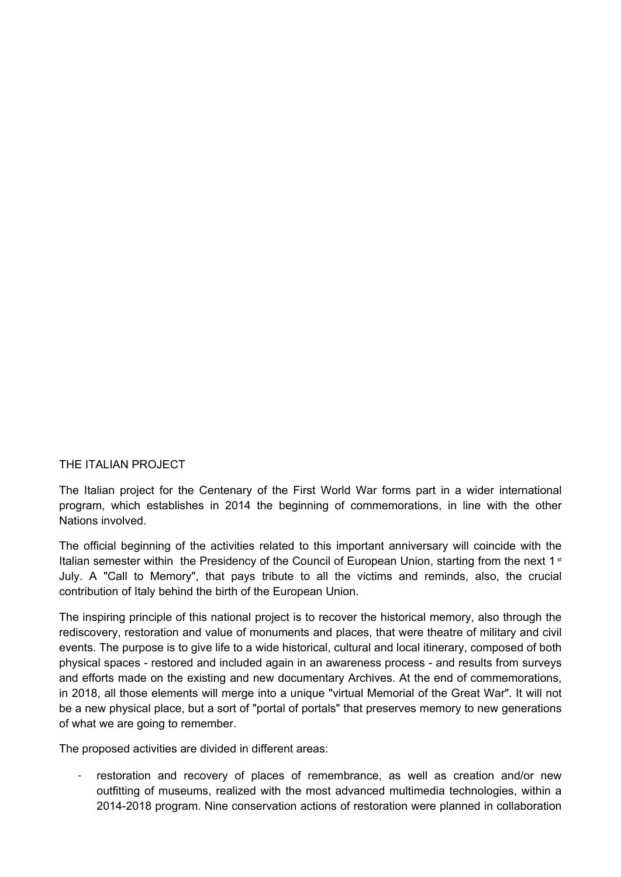#### THE ITALIAN PROJECT

The Italian project for the Centenary of the First World War forms part in a wider international program, which establishes in 2014 the beginning of commemorations, in line with the other Nations involved.

The official beginning of the activities related to this important anniversary will coincide with the Italian semester within the Presidency of the Council of European Union, starting from the next 1<sup>st</sup> July. A "Call to Memory", that pays tribute to all the victims and reminds, also, the crucial contribution of Italy behind the birth of the European Union.

The inspiring principle of this national project is to recover the historical memory, also through the rediscovery, restoration and value of monuments and places, that were theatre of military and civil events. The purpose is to give life to a wide historical, cultural and local itinerary, composed of both physical spaces restored and included again in an awareness process and results from surveys and efforts made on the existing and new documentary Archives. At the end of commemorations, in 2018, all those elements will merge into a unique "virtual Memorial of the Great War". It will not be a new physical place, but a sort of "portal of portals" that preserves memory to new generations of what we are going to remember.

The proposed activities are divided in different areas:

‐ restoration and recovery of places of remembrance, as well as creation and/or new outfitting of museums, realized with the most advanced multimedia technologies, within a 2014-2018 program. Nine conservation actions of restoration were planned in collaboration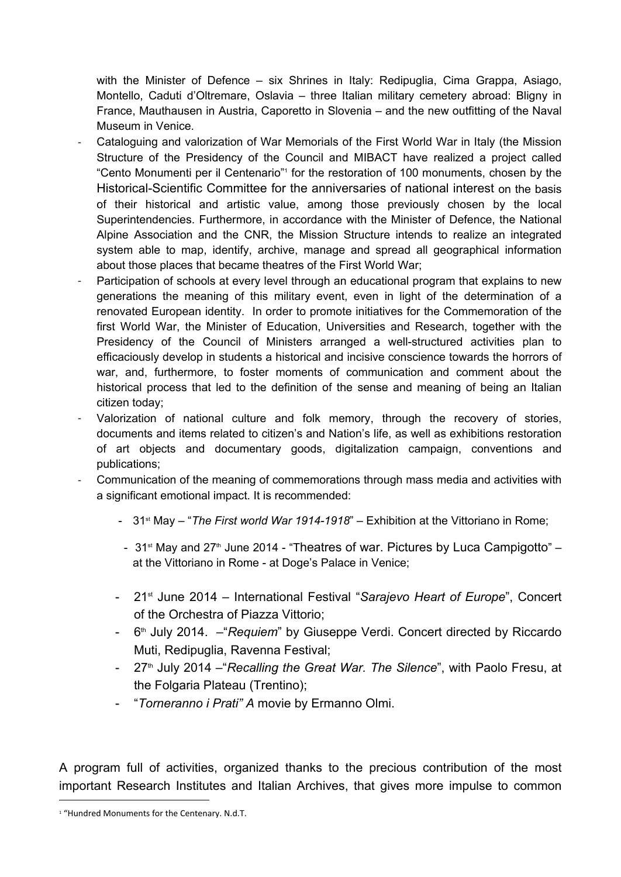with the Minister of Defence – six Shrines in Italy: Redipuglia, Cima Grappa, Asiago, Montello, Caduti d'Oltremare, Oslavia – three Italian military cemetery abroad: Bligny in France, Mauthausen in Austria, Caporetto in Slovenia – and the new outfitting of the Naval Museum in Venice.

- ‐ Cataloguing and valorization of War Memorials of the First World War in Italy (the Mission Structure of the Presidency of the Council and MIBACT have realized a project called "Cento Monumenti per il Centenario"<sup>1</sup> for the restoration of 100 monuments, chosen by the Historical-Scientific Committee for the anniversaries of national interest on the basis of their historical and artistic value, among those previously chosen by the local Superintendencies. Furthermore, in accordance with the Minister of Defence, the National Alpine Association and the CNR, the Mission Structure intends to realize an integrated system able to map, identify, archive, manage and spread all geographical information about those places that became theatres of the First World War;
- Participation of schools at every level through an educational program that explains to new generations the meaning of this military event, even in light of the determination of a renovated European identity. In order to promote initiatives for the Commemoration of the first World War, the Minister of Education, Universities and Research, together with the Presidency of the Council of Ministers arranged a well-structured activities plan to efficaciously develop in students a historical and incisive conscience towards the horrors of war, and, furthermore, to foster moments of communication and comment about the historical process that led to the definition of the sense and meaning of being an Italian citizen today;
- Valorization of national culture and folk memory, through the recovery of stories, documents and items related to citizen's and Nation's life, as well as exhibitions restoration of art objects and documentary goods, digitalization campaign, conventions and publications;
- ‐ Communication of the meaning of commemorations through mass media and activities with a significant emotional impact. It is recommended:
	- <sup>-</sup> 31<sup>st</sup> May "*The First world War 1914-1918*" Exhibition at the Vittoriano in Rome;
	- $31<sup>st</sup>$  May and  $27<sup>th</sup>$  June 2014 "Theatres of war. Pictures by Luca Campigotto" at the Vittoriano in Rome - at Doge's Palace in Venice;
	- 21st June 2014 International Festival "*Sarajevo Heart of Europe*", Concert of the Orchestra of Piazza Vittorio;
	- 6<sup>th</sup> July 2014. –"*Requiem*" by Giuseppe Verdi. Concert directed by Riccardo Muti, Redipuglia, Ravenna Festival;
	- 27<sup>th</sup> July 2014 "*Recalling the Great War. The Silence*", with Paolo Fresu, at the Folgaria Plateau (Trentino);
	- "*Torneranno i Prati" A* movie by Ermanno Olmi.

A program full of activities, organized thanks to the precious contribution of the most important Research Institutes and Italian Archives, that gives more impulse to common

<sup>1</sup> "Hundred Monuments for the Centenary. N.d.T.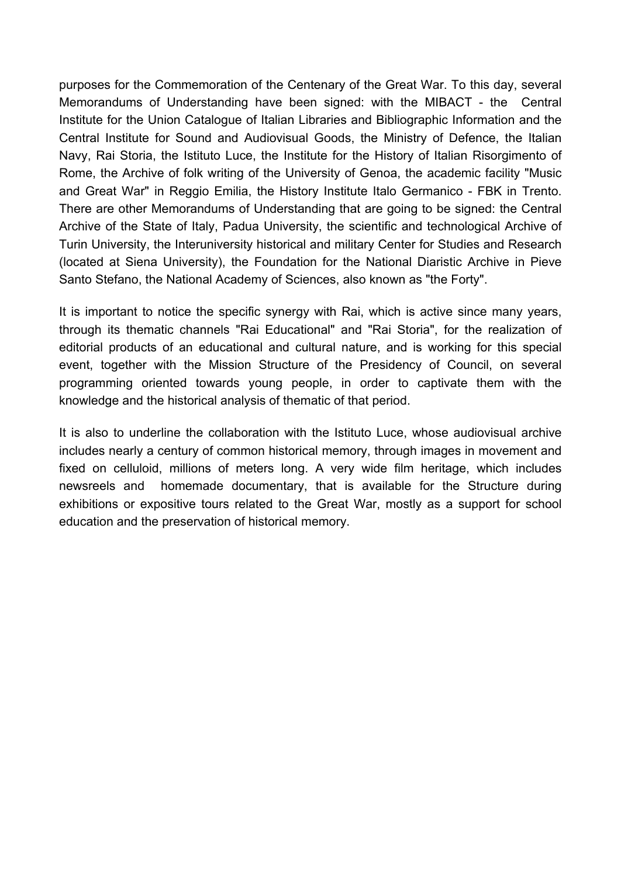purposes for the Commemoration of the Centenary of the Great War. To this day, several Memorandums of Understanding have been signed: with the MIBACT - the Central Institute for the Union Catalogue of Italian Libraries and Bibliographic Information and the Central Institute for Sound and Audiovisual Goods, the Ministry of Defence, the Italian Navy, Rai Storia, the Istituto Luce, the Institute for the History of Italian Risorgimento of Rome, the Archive of folk writing of the University of Genoa, the academic facility "Music and Great War" in Reggio Emilia, the History Institute Italo Germanico - FBK in Trento. There are other Memorandums of Understanding that are going to be signed: the Central Archive of the State of Italy, Padua University, the scientific and technological Archive of Turin University, the Interuniversity historical and military Center for Studies and Research (located at Siena University), the Foundation for the National Diaristic Archive in Pieve Santo Stefano, the National Academy of Sciences, also known as "the Forty".

It is important to notice the specific synergy with Rai, which is active since many years, through its thematic channels "Rai Educational" and "Rai Storia", for the realization of editorial products of an educational and cultural nature, and is working for this special event, together with the Mission Structure of the Presidency of Council, on several programming oriented towards young people, in order to captivate them with the knowledge and the historical analysis of thematic of that period.

It is also to underline the collaboration with the Istituto Luce, whose audiovisual archive includes nearly a century of common historical memory, through images in movement and fixed on celluloid, millions of meters long. A very wide film heritage, which includes newsreels and homemade documentary, that is available for the Structure during exhibitions or expositive tours related to the Great War, mostly as a support for school education and the preservation of historical memory.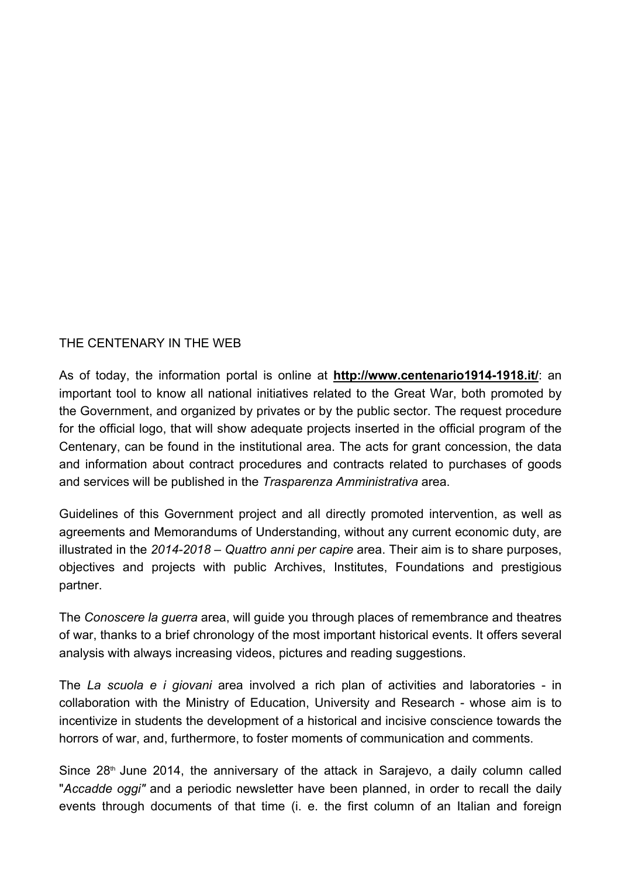#### THE CENTENARY IN THE WEB

As of today, the information portal is online at **http://www.centenario1914-1918.it/**: an important tool to know all national initiatives related to the Great War, both promoted by the Government, and organized by privates or by the public sector. The request procedure for the official logo, that will show adequate projects inserted in the official program of the Centenary, can be found in the institutional area. The acts for grant concession, the data and information about contract procedures and contracts related to purchases of goods and services will be published in the *Trasparenza Amministrativa* area.

Guidelines of this Government project and all directly promoted intervention, as well as agreements and Memorandums of Understanding, without any current economic duty, are illustrated in the 2014-2018 – Quattro anni per capire area. Their aim is to share purposes, objectives and projects with public Archives, Institutes, Foundations and prestigious partner.

The *Conoscere la guerra* area, will guide you through places of remembrance and theatres of war, thanks to a brief chronology of the most important historical events. It offers several analysis with always increasing videos, pictures and reading suggestions.

The *La scuola e i giovani* area involved a rich plan of activities and laboratories - in collaboration with the Ministry of Education, University and Research whose aim is to incentivize in students the development of a historical and incisive conscience towards the horrors of war, and, furthermore, to foster moments of communication and comments.

Since  $28<sup>th</sup>$  June 2014, the anniversary of the attack in Sarajevo, a daily column called "*Accadde oggi"* and a periodic newsletter have been planned, in order to recall the daily events through documents of that time (i. e. the first column of an Italian and foreign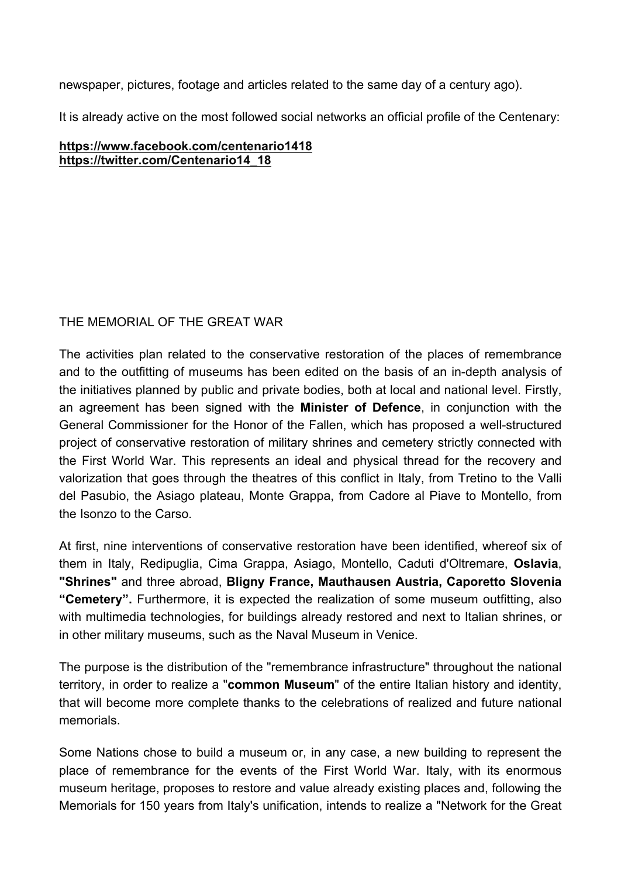newspaper, pictures, footage and articles related to the same day of a century ago).

It is already active on the most followed social networks an official profile of the Centenary:

#### **https://www.facebook.com/centenario1418 https://twitter.com/Centenario14\_18**

# THE MEMORIAL OF THE GREAT WAR

The activities plan related to the conservative restoration of the places of remembrance and to the outfitting of museums has been edited on the basis of an in-depth analysis of the initiatives planned by public and private bodies, both at local and national level. Firstly, an agreement has been signed with the **Minister of Defence**, in conjunction with the General Commissioner for the Honor of the Fallen, which has proposed a well-structured project of conservative restoration of military shrines and cemetery strictly connected with the First World War. This represents an ideal and physical thread for the recovery and valorization that goes through the theatres of this conflict in Italy, from Tretino to the Valli del Pasubio, the Asiago plateau, Monte Grappa, from Cadore al Piave to Montello, from the Isonzo to the Carso.

At first, nine interventions of conservative restoration have been identified, whereof six of them in Italy, Redipuglia, Cima Grappa, Asiago, Montello, Caduti d'Oltremare, **Oslavia**, **"Shrines"** and three abroad, **Bligny France, Mauthausen Austria, Caporetto Slovenia "Cemetery".** Furthermore, it is expected the realization of some museum outfitting, also with multimedia technologies, for buildings already restored and next to Italian shrines, or in other military museums, such as the Naval Museum in Venice.

The purpose is the distribution of the "remembrance infrastructure" throughout the national territory, in order to realize a "**common Museum**" of the entire Italian history and identity, that will become more complete thanks to the celebrations of realized and future national memorials.

Some Nations chose to build a museum or, in any case, a new building to represent the place of remembrance for the events of the First World War. Italy, with its enormous museum heritage, proposes to restore and value already existing places and, following the Memorials for 150 years from Italy's unification, intends to realize a "Network for the Great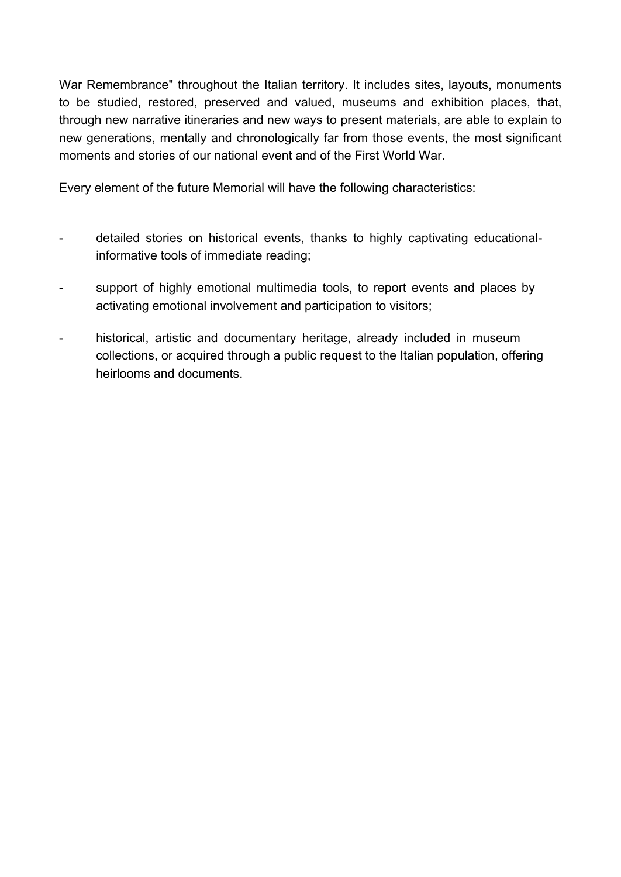War Remembrance" throughout the Italian territory. It includes sites, layouts, monuments to be studied, restored, preserved and valued, museums and exhibition places, that, through new narrative itineraries and new ways to present materials, are able to explain to new generations, mentally and chronologically far from those events, the most significant moments and stories of our national event and of the First World War.

Every element of the future Memorial will have the following characteristics:

- detailed stories on historical events, thanks to highly captivating educationalinformative tools of immediate reading;
- support of highly emotional multimedia tools, to report events and places by activating emotional involvement and participation to visitors;
- historical, artistic and documentary heritage, already included in museum collections, or acquired through a public request to the Italian population, offering heirlooms and documents.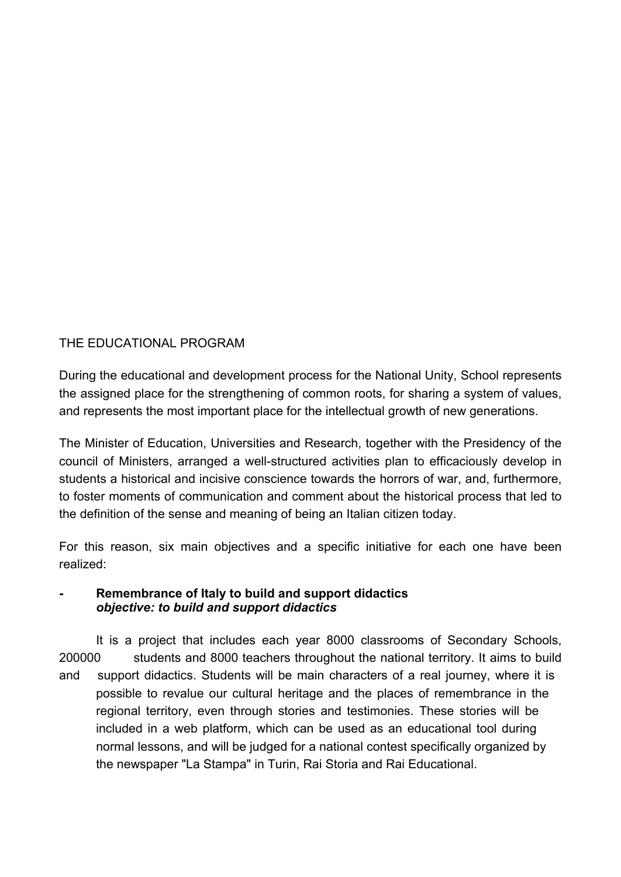# THE EDUCATIONAL PROGRAM

During the educational and development process for the National Unity, School represents the assigned place for the strengthening of common roots, for sharing a system of values, and represents the most important place for the intellectual growth of new generations.

The Minister of Education, Universities and Research, together with the Presidency of the council of Ministers, arranged a well-structured activities plan to efficaciously develop in students a historical and incisive conscience towards the horrors of war, and, furthermore, to foster moments of communication and comment about the historical process that led to the definition of the sense and meaning of being an Italian citizen today.

For this reason, six main objectives and a specific initiative for each one have been realized:

#### **Remembrance of Italy to build and support didactics** *objective: to build and support didactics*

It is a project that includes each year 8000 classrooms of Secondary Schools, 200000 students and 8000 teachers throughout the national territory. It aims to build and support didactics. Students will be main characters of a real journey, where it is possible to revalue our cultural heritage and the places of remembrance in the regional territory, even through stories and testimonies. These stories will be included in a web platform, which can be used as an educational tool during normal lessons, and will be judged for a national contest specifically organized by the newspaper "La Stampa" in Turin, Rai Storia and Rai Educational.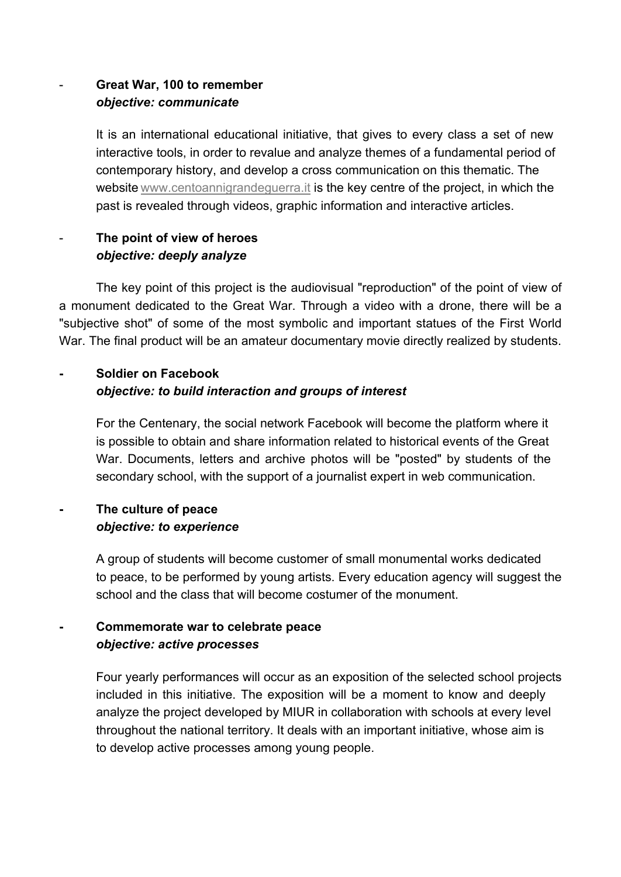# **Great War, 100 to remember** *objective: communicate*

It is an international educational initiative, that gives to every class a set of new interactive tools, in order to revalue and analyze themes of a fundamental period of contemporary history, and develop a cross communication on this thematic. The website www.centoannigrandeguerra.it is the key centre of the project, in which the past is revealed through videos, graphic information and interactive articles.

# **The point of view of heroes** *objective: deeply analyze*

The key point of this project is the audiovisual "reproduction" of the point of view of a monument dedicated to the Great War. Through a video with a drone, there will be a "subjective shot" of some of the most symbolic and important statues of the First World War. The final product will be an amateur documentary movie directly realized by students.

# **Soldier on Facebook** *objective: to build interaction and groups of interest*

For the Centenary, the social network Facebook will become the platform where it is possible to obtain and share information related to historical events of the Great War. Documents, letters and archive photos will be "posted" by students of the secondary school, with the support of a journalist expert in web communication.

# **The culture of peace** *objective: to experience*

A group of students will become customer of small monumental works dedicated to peace, to be performed by young artists. Every education agency will suggest the school and the class that will become costumer of the monument.

# **Commemorate war to celebrate peace** *objective: active processes*

Four yearly performances will occur as an exposition of the selected school projects included in this initiative. The exposition will be a moment to know and deeply analyze the project developed by MIUR in collaboration with schools at every level throughout the national territory. It deals with an important initiative, whose aim is to develop active processes among young people.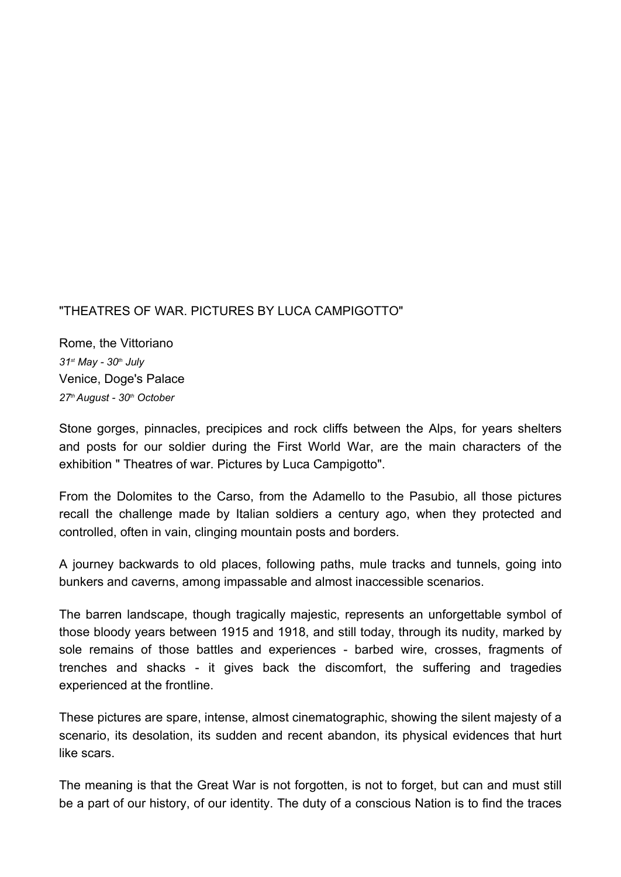#### "THEATRES OF WAR. PICTURES BY LUCA CAMPIGOTTO"

Rome, the Vittoriano *31st May 30th July* Venice, Doge's Palace *27th August 30th October*

Stone gorges, pinnacles, precipices and rock cliffs between the Alps, for years shelters and posts for our soldier during the First World War, are the main characters of the exhibition " Theatres of war. Pictures by Luca Campigotto".

From the Dolomites to the Carso, from the Adamello to the Pasubio, all those pictures recall the challenge made by Italian soldiers a century ago, when they protected and controlled, often in vain, clinging mountain posts and borders.

A journey backwards to old places, following paths, mule tracks and tunnels, going into bunkers and caverns, among impassable and almost inaccessible scenarios.

The barren landscape, though tragically majestic, represents an unforgettable symbol of those bloody years between 1915 and 1918, and still today, through its nudity, marked by sole remains of those battles and experiences - barbed wire, crosses, fragments of trenches and shacks it gives back the discomfort, the suffering and tragedies experienced at the frontline.

These pictures are spare, intense, almost cinematographic, showing the silent majesty of a scenario, its desolation, its sudden and recent abandon, its physical evidences that hurt like scars.

The meaning is that the Great War is not forgotten, is not to forget, but can and must still be a part of our history, of our identity. The duty of a conscious Nation is to find the traces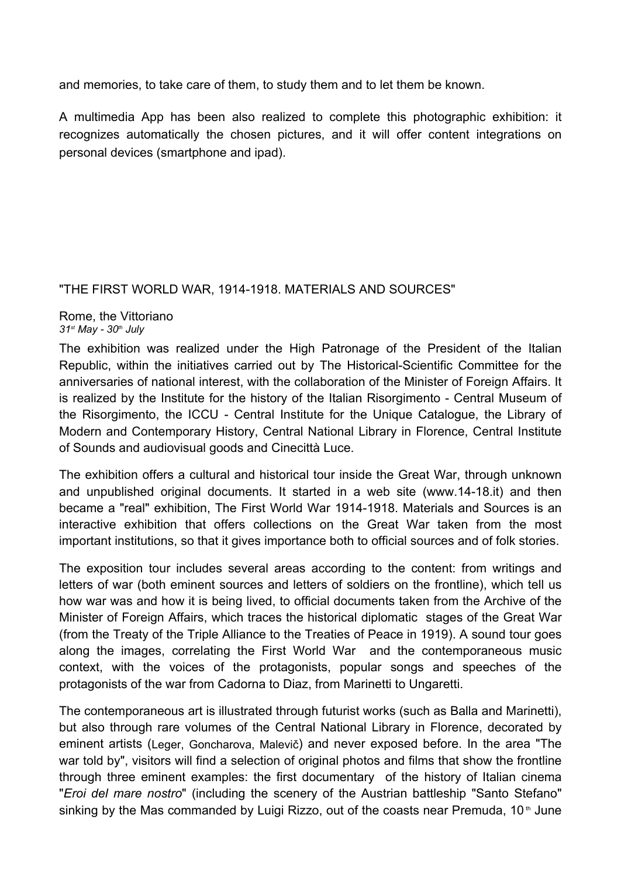and memories, to take care of them, to study them and to let them be known.

A multimedia App has been also realized to complete this photographic exhibition: it recognizes automatically the chosen pictures, and it will offer content integrations on personal devices (smartphone and ipad).

#### "THE FIRST WORLD WAR, 1914-1918. MATERIALS AND SOURCES"

Rome, the Vittoriano *31st May 30th July*

The exhibition was realized under the High Patronage of the President of the Italian Republic, within the initiatives carried out by The Historical-Scientific Committee for the anniversaries of national interest, with the collaboration of the Minister of Foreign Affairs. It is realized by the Institute for the history of the Italian Risorgimento Central Museum of the Risorgimento, the ICCU - Central Institute for the Unique Catalogue, the Library of Modern and Contemporary History, Central National Library in Florence, Central Institute of Sounds and audiovisual goods and Cinecittà Luce.

The exhibition offers a cultural and historical tour inside the Great War, through unknown and unpublished original documents. It started in a web site (www.14-18.it) and then became a "real" exhibition, The First World War 1914-1918. Materials and Sources is an interactive exhibition that offers collections on the Great War taken from the most important institutions, so that it gives importance both to official sources and of folk stories.

The exposition tour includes several areas according to the content: from writings and letters of war (both eminent sources and letters of soldiers on the frontline), which tell us how war was and how it is being lived, to official documents taken from the Archive of the Minister of Foreign Affairs, which traces the historical diplomatic stages of the Great War (from the Treaty of the Triple Alliance to the Treaties of Peace in 1919). A sound tour goes along the images, correlating the First World War and the contemporaneous music context, with the voices of the protagonists, popular songs and speeches of the protagonists of the war from Cadorna to Diaz, from Marinetti to Ungaretti.

The contemporaneous art is illustrated through futurist works (such as Balla and Marinetti), but also through rare volumes of the Central National Library in Florence, decorated by eminent artists (Leger, Goncharova, Malevič) and never exposed before. In the area "The war told by", visitors will find a selection of original photos and films that show the frontline through three eminent examples: the first documentary of the history of Italian cinema "*Eroi del mare nostro*" (including the scenery of the Austrian battleship "Santo Stefano" sinking by the Mas commanded by Luigi Rizzo, out of the coasts near Premuda,  $10<sup>th</sup>$  June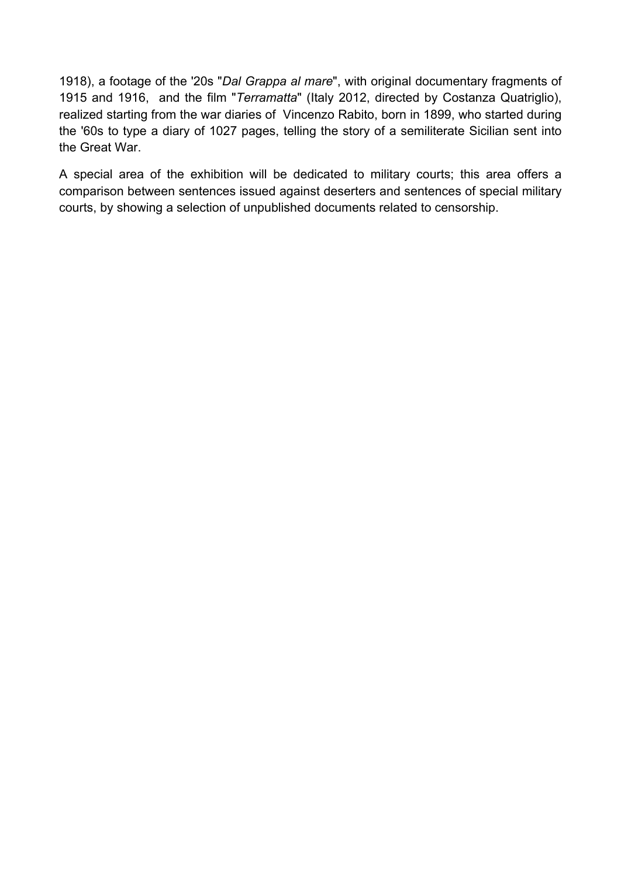1918), a footage of the '20s "*Dal Grappa al mare*", with original documentary fragments of 1915 and 1916, and the film "*Terramatta*" (Italy 2012, directed by Costanza Quatriglio), realized starting from the war diaries of Vincenzo Rabito, born in 1899, who started during the '60s to type a diary of 1027 pages, telling the story of a semiliterate Sicilian sent into the Great War.

A special area of the exhibition will be dedicated to military courts; this area offers a comparison between sentences issued against deserters and sentences of special military courts, by showing a selection of unpublished documents related to censorship.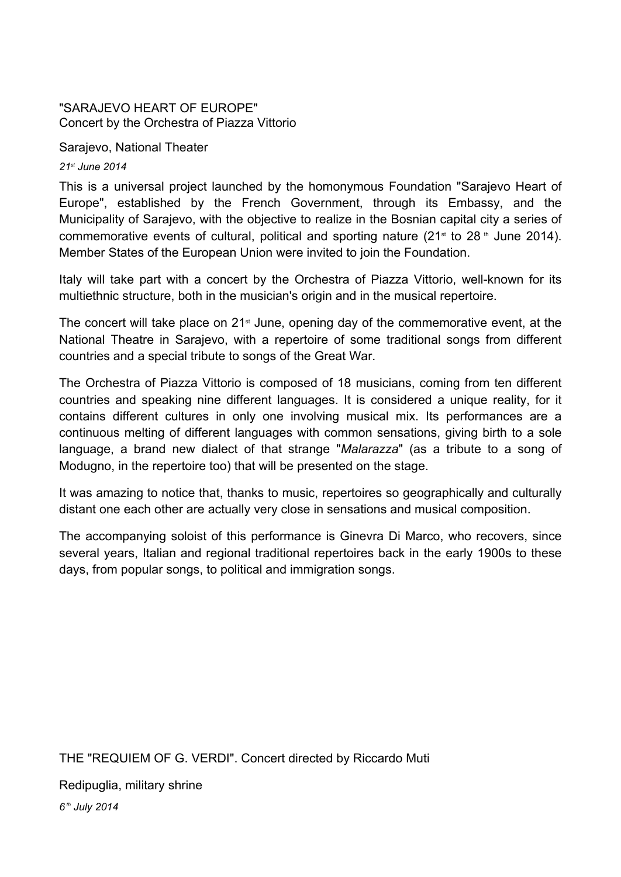#### "SARAJEVO HEART OF EUROPE" Concert by the Orchestra of Piazza Vittorio

Sarajevo, National Theater

*21st June 2014*

This is a universal project launched by the homonymous Foundation "Sarajevo Heart of Europe", established by the French Government, through its Embassy, and the Municipality of Sarajevo, with the objective to realize in the Bosnian capital city a series of commemorative events of cultural, political and sporting nature  $(21<sup>st</sup>$  to 28  $<sup>th</sup>$  June 2014).</sup> Member States of the European Union were invited to join the Foundation.

Italy will take part with a concert by the Orchestra of Piazza Vittorio, well-known for its multiethnic structure, both in the musician's origin and in the musical repertoire.

The concert will take place on  $21<sup>st</sup>$  June, opening day of the commemorative event, at the National Theatre in Sarajevo, with a repertoire of some traditional songs from different countries and a special tribute to songs of the Great War.

The Orchestra of Piazza Vittorio is composed of 18 musicians, coming from ten different countries and speaking nine different languages. It is considered a unique reality, for it contains different cultures in only one involving musical mix. Its performances are a continuous melting of different languages with common sensations, giving birth to a sole language, a brand new dialect of that strange "*Malarazza*" (as a tribute to a song of Modugno, in the repertoire too) that will be presented on the stage.

It was amazing to notice that, thanks to music, repertoires so geographically and culturally distant one each other are actually very close in sensations and musical composition.

The accompanying soloist of this performance is Ginevra Di Marco, who recovers, since several years, Italian and regional traditional repertoires back in the early 1900s to these days, from popular songs, to political and immigration songs.

THE "REQUIEM OF G. VERDI". Concert directed by Riccardo Muti

Redipuglia, military shrine

*6 th July 2014*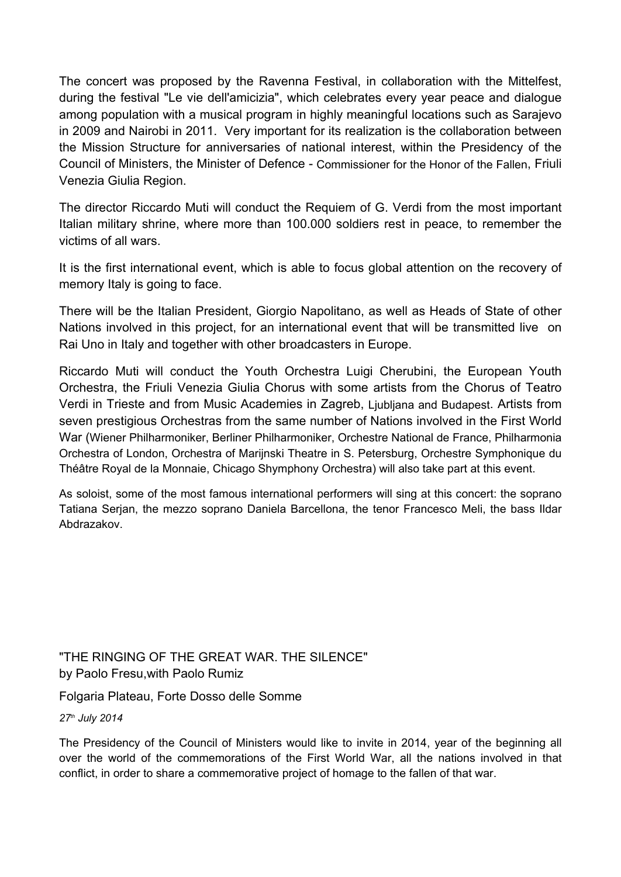The concert was proposed by the Ravenna Festival, in collaboration with the Mittelfest, during the festival "Le vie dell'amicizia", which celebrates every year peace and dialogue among population with a musical program in highly meaningful locations such as Sarajevo in 2009 and Nairobi in 2011. Very important for its realization is the collaboration between the Mission Structure for anniversaries of national interest, within the Presidency of the Council of Ministers, the Minister of Defence Commissioner for the Honor of the Fallen, Friuli Venezia Giulia Region.

The director Riccardo Muti will conduct the Requiem of G. Verdi from the most important Italian military shrine, where more than 100.000 soldiers rest in peace, to remember the victims of all wars.

It is the first international event, which is able to focus global attention on the recovery of memory Italy is going to face.

There will be the Italian President, Giorgio Napolitano, as well as Heads of State of other Nations involved in this project, for an international event that will be transmitted live on Rai Uno in Italy and together with other broadcasters in Europe.

Riccardo Muti will conduct the Youth Orchestra Luigi Cherubini, the European Youth Orchestra, the Friuli Venezia Giulia Chorus with some artists from the Chorus of Teatro Verdi in Trieste and from Music Academies in Zagreb, Ljubljana and Budapest. Artists from seven prestigious Orchestras from the same number of Nations involved in the First World War (Wiener Philharmoniker, Berliner Philharmoniker, Orchestre National de France, Philharmonia Orchestra of London, Orchestra of Marijnski Theatre in S. Petersburg, Orchestre Symphonique du Théâtre Royal de la Monnaie, Chicago Shymphony Orchestra) will also take part at this event.

As soloist, some of the most famous international performers will sing at this concert: the soprano Tatiana Serjan, the mezzo soprano Daniela Barcellona, the tenor Francesco Meli, the bass Ildar Abdrazakov.

"THE RINGING OF THE GREAT WAR. THE SILENCE" by Paolo Fresu,with Paolo Rumiz

Folgaria Plateau, Forte Dosso delle Somme

*27th July 2014*

The Presidency of the Council of Ministers would like to invite in 2014, year of the beginning all over the world of the commemorations of the First World War, all the nations involved in that conflict, in order to share a commemorative project of homage to the fallen of that war.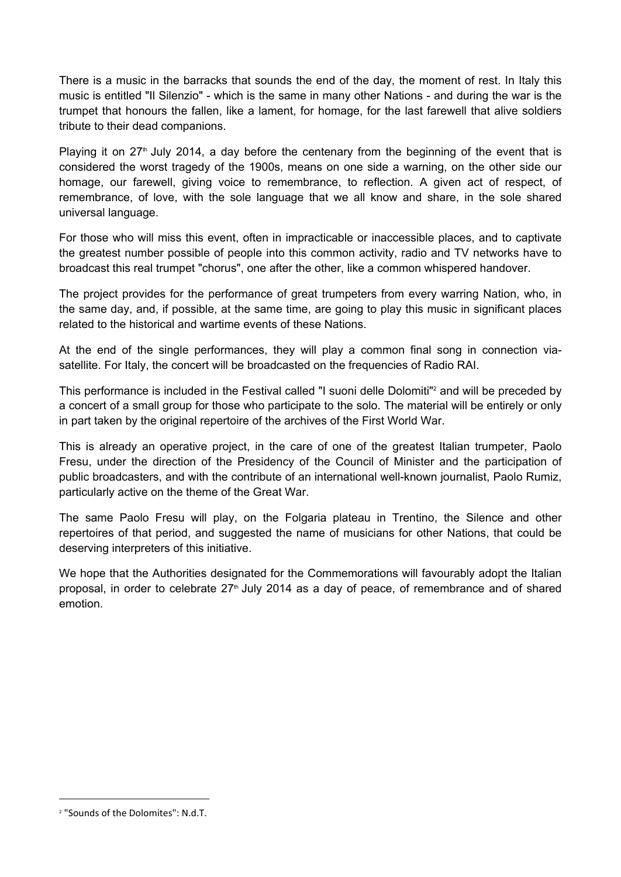There is a music in the barracks that sounds the end of the day, the moment of rest. In Italy this music is entitled "Il Silenzio" - which is the same in many other Nations - and during the war is the trumpet that honours the fallen, like a lament, for homage, for the last farewell that alive soldiers tribute to their dead companions.

Playing it on  $27<sup>th</sup>$  July 2014, a day before the centenary from the beginning of the event that is considered the worst tragedy of the 1900s, means on one side a warning, on the other side our homage, our farewell, giving voice to remembrance, to reflection. A given act of respect, of remembrance, of love, with the sole language that we all know and share, in the sole shared universal language.

For those who will miss this event, often in impracticable or inaccessible places, and to captivate the greatest number possible of people into this common activity, radio and TV networks have to broadcast this real trumpet "chorus", one after the other, like a common whispered handover.

The project provides for the performance of great trumpeters from every warring Nation, who, in the same day, and, if possible, at the same time, are going to play this music in significant places related to the historical and wartime events of these Nations.

At the end of the single performances, they will play a common final song in connection viasatellite. For Italy, the concert will be broadcasted on the frequencies of Radio RAI.

This performance is included in the Festival called "I suoni delle Dolomiti"<sup>2</sup> and will be preceded by a concert of a small group for those who participate to the solo. The material will be entirely or only in part taken by the original repertoire of the archives of the First World War.

This is already an operative project, in the care of one of the greatest Italian trumpeter, Paolo Fresu, under the direction of the Presidency of the Council of Minister and the participation of public broadcasters, and with the contribute of an international well-known journalist, Paolo Rumiz, particularly active on the theme of the Great War.

The same Paolo Fresu will play, on the Folgaria plateau in Trentino, the Silence and other repertoires of that period, and suggested the name of musicians for other Nations, that could be deserving interpreters of this initiative.

We hope that the Authorities designated for the Commemorations will favourably adopt the Italian proposal, in order to celebrate  $27<sup>th</sup>$  July 2014 as a day of peace, of remembrance and of shared emotion.

<sup>2</sup> "Sounds of the Dolomites": N.d.T.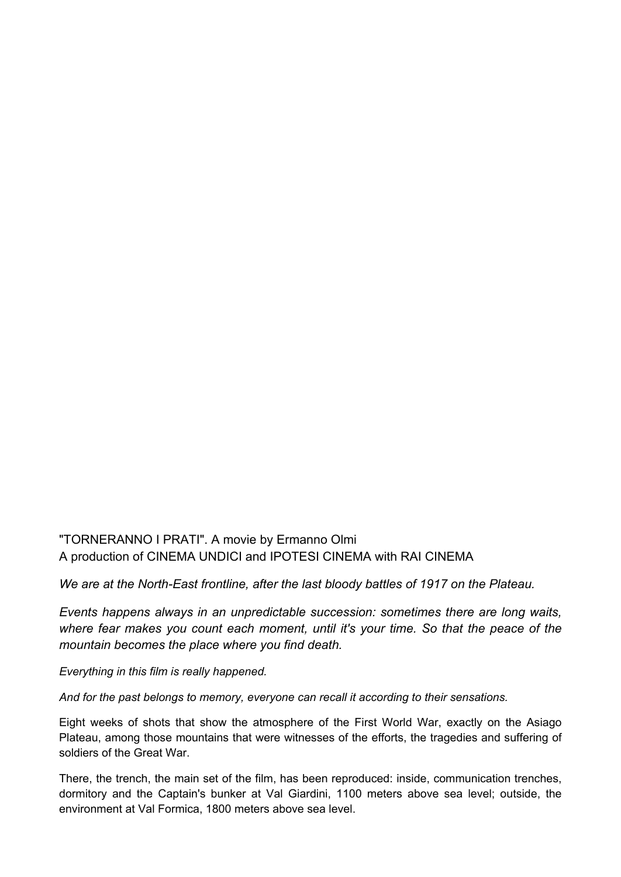#### "TORNERANNO I PRATI". A movie by Ermanno Olmi A production of CINEMA UNDICI and IPOTESI CINEMA with RAI CINEMA

*We are at the North-East frontline, after the last bloody battles of 1917 on the Plateau.* 

*Events happens always in an unpredictable succession: sometimes there are long waits, where fear makes you count each moment, until it's your time. So that the peace of the mountain becomes the place where you find death.*

*Everything in this film is really happened.*

*And for the past belongs to memory, everyone can recall it according to their sensations.*

Eight weeks of shots that show the atmosphere of the First World War, exactly on the Asiago Plateau, among those mountains that were witnesses of the efforts, the tragedies and suffering of soldiers of the Great War.

There, the trench, the main set of the film, has been reproduced: inside, communication trenches, dormitory and the Captain's bunker at Val Giardini, 1100 meters above sea level; outside, the environment at Val Formica, 1800 meters above sea level.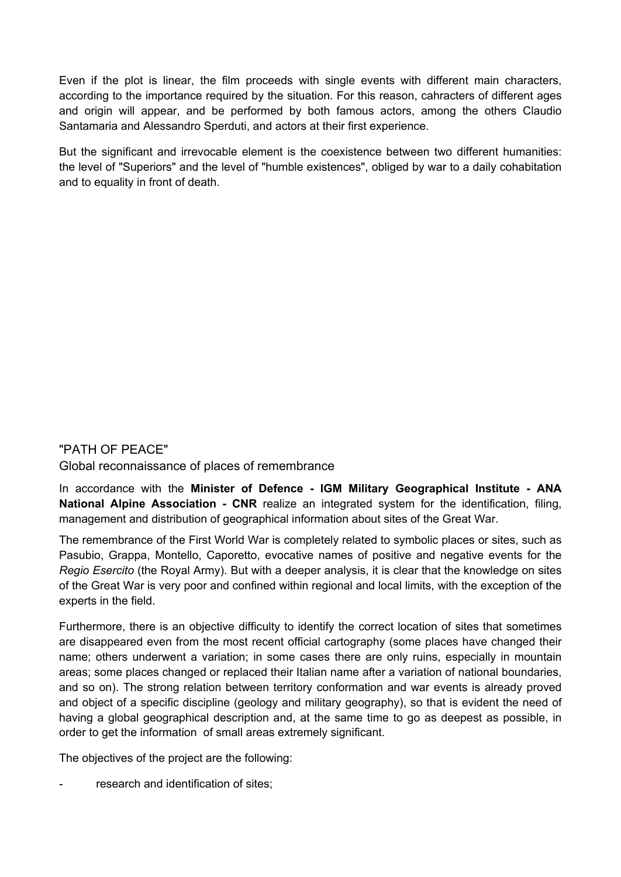Even if the plot is linear, the film proceeds with single events with different main characters, according to the importance required by the situation. For this reason, cahracters of different ages and origin will appear, and be performed by both famous actors, among the others Claudio Santamaria and Alessandro Sperduti, and actors at their first experience.

But the significant and irrevocable element is the coexistence between two different humanities: the level of "Superiors" and the level of "humble existences", obliged by war to a daily cohabitation and to equality in front of death.

#### "PATH OF PEACE"

Global reconnaissance of places of remembrance

In accordance with the **Minister of Defence IGM Military Geographical Institute ANA National Alpine Association CNR**  realize an integrated system for the identification, filing, management and distribution of geographical information about sites of the Great War.

The remembrance of the First World War is completely related to symbolic places or sites, such as Pasubio, Grappa, Montello, Caporetto, evocative names of positive and negative events for the *Regio Esercito* (the Royal Army). But with a deeper analysis, it is clear that the knowledge on sites of the Great War is very poor and confined within regional and local limits, with the exception of the experts in the field.

Furthermore, there is an objective difficulty to identify the correct location of sites that sometimes are disappeared even from the most recent official cartography (some places have changed their name; others underwent a variation; in some cases there are only ruins, especially in mountain areas; some places changed or replaced their Italian name after a variation of national boundaries, and so on). The strong relation between territory conformation and war events is already proved and object of a specific discipline (geology and military geography), so that is evident the need of having a global geographical description and, at the same time to go as deepest as possible, in order to get the information of small areas extremely significant.

The objectives of the project are the following:

research and identification of sites;